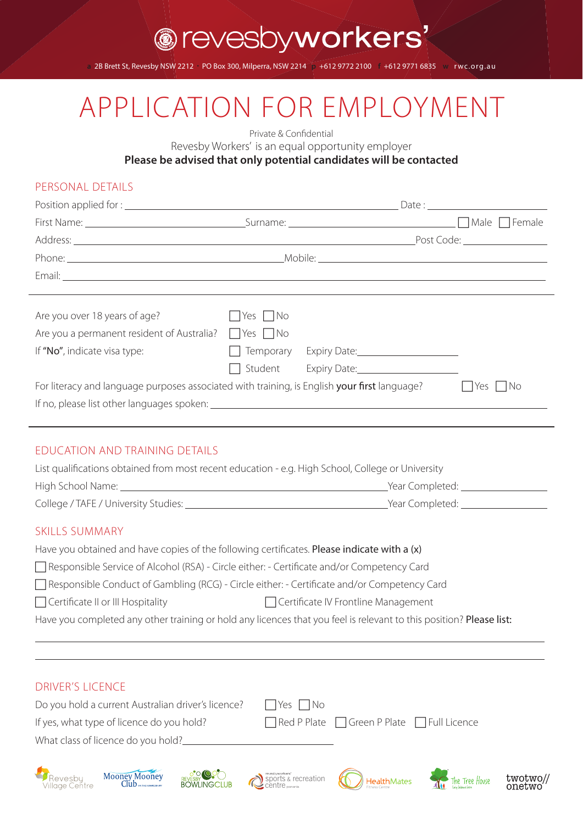**a** 2B Brett St, Revesby NSW 2212 **.** PO Box 300, Milperra, NSW 2214 **p** +612 9772 2100 **f** +612 9771 6835 **w** r wc.org.au

# APPLICATION FOR EMPLOYMENT

Private & Confidential

Revesby Workers' is an equal opportunity employer

**Please be advised that only potential candidates will be contacted**

#### PERSONAL DETAILS

| Are you over 18 years of age?                                                                     | $\Box$ Yes $\Box$ No |                                  |  |            |
|---------------------------------------------------------------------------------------------------|----------------------|----------------------------------|--|------------|
| Are you a permanent resident of Australia? $\Box$ Yes $\Box$ No                                   |                      |                                  |  |            |
| If "No", indicate visa type:                                                                      |                      | Temporary Expiry Date: 1988-1991 |  |            |
|                                                                                                   |                      | Student Expiry Date:             |  |            |
| For literacy and language purposes associated with training, is English your first language?      |                      |                                  |  | Yes     No |
|                                                                                                   |                      |                                  |  |            |
|                                                                                                   |                      |                                  |  |            |
| EDUCATION AND TRAINING DETAILS                                                                    |                      |                                  |  |            |
| List qualifications obtained from most recent education - e.g. High School, College or University |                      |                                  |  |            |
|                                                                                                   |                      |                                  |  |            |
|                                                                                                   |                      |                                  |  |            |
|                                                                                                   |                      |                                  |  |            |
| <b>SKILLS SUMMARY</b>                                                                             |                      |                                  |  |            |
| Have you obtained and have copies of the following certificates. Please indicate with a (x)       |                      |                                  |  |            |
| Responsible Service of Alcohol (RSA) - Circle either: - Certificate and/or Competency Card        |                      |                                  |  |            |

□ Responsible Conduct of Gambling (RCG) - Circle either: - Certificate and/or Competency Card

□ Certificate II or III Hospitality Certificate IV Frontline Management

Have you completed any other training or hold any licences that you feel is relevant to this position? Please list:

#### DRIVER'S LICENCE

 $\overline{a}$ 

| Do you hold a current Australian driver's licence? | Yes     No                                                  |
|----------------------------------------------------|-------------------------------------------------------------|
| If yes, what type of licence do you hold?          | $\Box$ Red P Plate $\Box$ Green P Plate $\Box$ Full Licence |
| What class of licence do you hold?                 |                                                             |













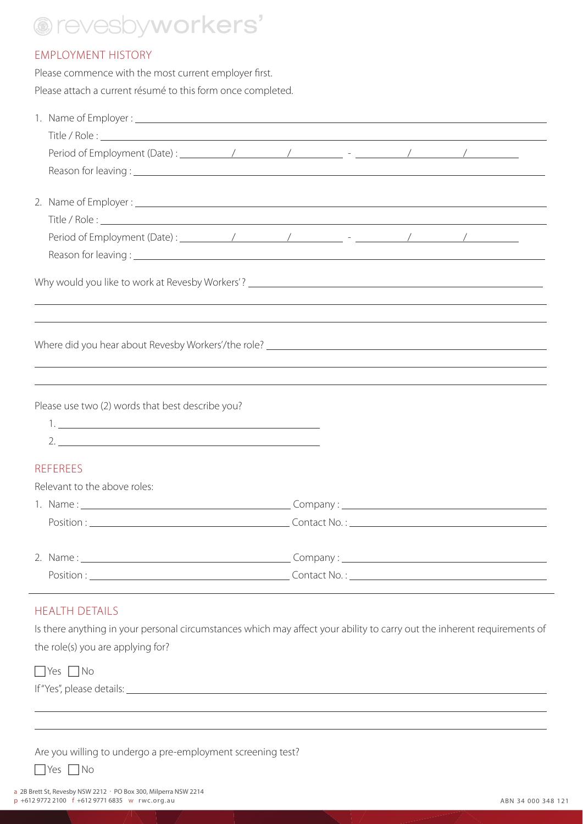#### EMPLOYMENT HISTORY

Please commence with the most current employer first. Please attach a current résumé to this form once completed.

| Why would you like to work at Revesby Workers'? _________________________________ |  |  |
|-----------------------------------------------------------------------------------|--|--|
|                                                                                   |  |  |
|                                                                                   |  |  |
| Please use two (2) words that best describe you?                                  |  |  |
|                                                                                   |  |  |
|                                                                                   |  |  |
| <b>REFEREES</b>                                                                   |  |  |
| Relevant to the above roles:                                                      |  |  |
|                                                                                   |  |  |
|                                                                                   |  |  |
|                                                                                   |  |  |
|                                                                                   |  |  |

#### HEALTH DETAILS

Is there anything in your personal circumstances which may affect your ability to carry out the inherent requirements of the role(s) you are applying for?

 $\Box$  Yes  $\Box$  No

 $\overline{a}$  $\overline{a}$ 

If "Yes", please details:

| Are you willing to undergo a pre-employment screening test? |  |  |  |
|-------------------------------------------------------------|--|--|--|
|-------------------------------------------------------------|--|--|--|

 $\Box$  Yes  $\Box$  No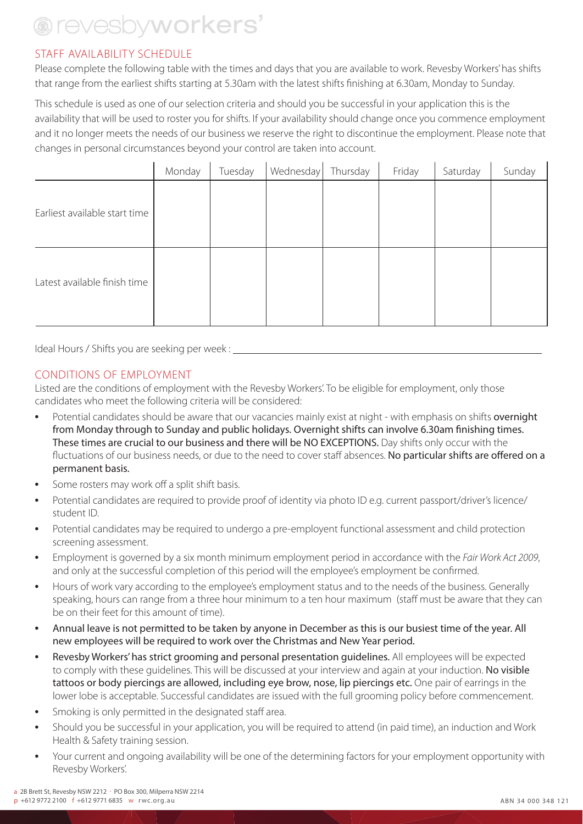#### STAFF AVAILABILITY SCHEDULE

Please complete the following table with the times and days that you are available to work. Revesby Workers' has shifts that range from the earliest shifts starting at 5.30am with the latest shifts finishing at 6.30am, Monday to Sunday.

This schedule is used as one of our selection criteria and should you be successful in your application this is the availability that will be used to roster you for shifts. If your availability should change once you commence employment and it no longer meets the needs of our business we reserve the right to discontinue the employment. Please note that changes in personal circumstances beyond your control are taken into account.

|                               | Monday | Tuesday | Wednesday | Thursday | Friday | Saturday | Sunday |
|-------------------------------|--------|---------|-----------|----------|--------|----------|--------|
| Earliest available start time |        |         |           |          |        |          |        |
| Latest available finish time  |        |         |           |          |        |          |        |

Ideal Hours / Shifts you are seeking per week :

#### CONDITIONS OF EMPLOYMENT

Listed are the conditions of employment with the Revesby Workers'. To be eligible for employment, only those candidates who meet the following criteria will be considered:

- Potential candidates should be aware that our vacancies mainly exist at night with emphasis on shifts overnight from Monday through to Sunday and public holidays. Overnight shifts can involve 6.30am finishing times. These times are crucial to our business and there will be NO EXCEPTIONS. Day shifts only occur with the fluctuations of our business needs, or due to the need to cover staff absences. No particular shifts are offered on a permanent basis.
- Some rosters may work off a split shift basis.
- Potential candidates are required to provide proof of identity via photo ID e.g. current passport/driver's licence/ student ID.
- Potential candidates may be required to undergo a pre-employent functional assessment and child protection screening assessment.
- Employment is governed by a six month minimum employment period in accordance with the *Fair Work Act 2009*, and only at the successful completion of this period will the employee's employment be confirmed.
- Hours of work vary according to the employee's employment status and to the needs of the business. Generally speaking, hours can range from a three hour minimum to a ten hour maximum (staff must be aware that they can be on their feet for this amount of time).
- Annual leave is not permitted to be taken by anyone in December as this is our busiest time of the year. All new employees will be required to work over the Christmas and New Year period.
- Revesby Workers' has strict grooming and personal presentation guidelines. All employees will be expected to comply with these quidelines. This will be discussed at your interview and again at your induction. No visible tattoos or body piercings are allowed, including eye brow, nose, lip piercings etc. One pair of earrings in the lower lobe is acceptable. Successful candidates are issued with the full grooming policy before commencement.
- Smoking is only permitted in the designated staff area.
- Should you be successful in your application, you will be required to attend (in paid time), an induction and Work Health & Safety training session.
- Your current and ongoing availability will be one of the determining factors for your employment opportunity with Revesby Workers'.